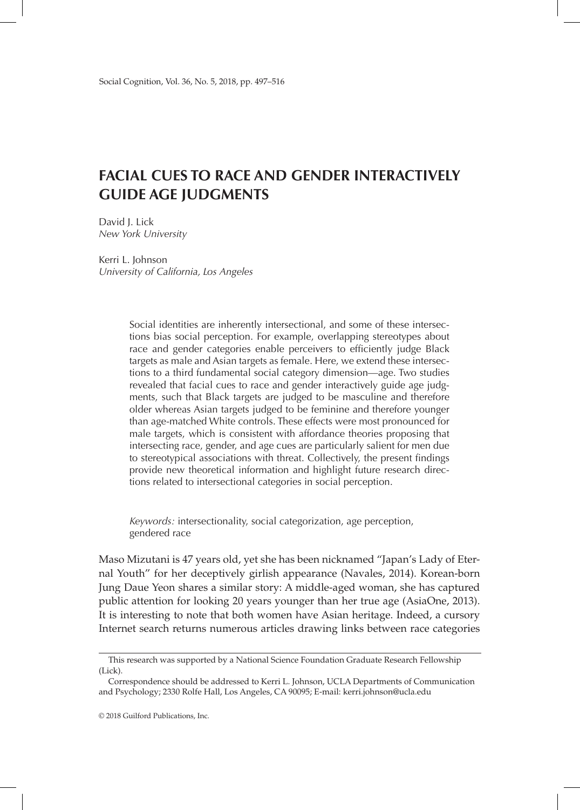# **FACIAL CUES TO RACE AND GENDER INTERACTIVELY GUIDE AGE JUDGMENTS**

David J. Lick *New York University*

Kerri L. Johnson *University of California, Los Angeles*

> Social identities are inherently intersectional, and some of these intersections bias social perception. For example, overlapping stereotypes about race and gender categories enable perceivers to efficiently judge Black targets as male and Asian targets as female. Here, we extend these intersections to a third fundamental social category dimension—age. Two studies revealed that facial cues to race and gender interactively guide age judgments, such that Black targets are judged to be masculine and therefore older whereas Asian targets judged to be feminine and therefore younger than age-matched White controls. These effects were most pronounced for male targets, which is consistent with affordance theories proposing that intersecting race, gender, and age cues are particularly salient for men due to stereotypical associations with threat. Collectively, the present findings provide new theoretical information and highlight future research directions related to intersectional categories in social perception.

*Keywords:* intersectionality, social categorization, age perception, gendered race

Maso Mizutani is 47 years old, yet she has been nicknamed "Japan's Lady of Eternal Youth" for her deceptively girlish appearance (Navales, 2014). Korean-born Jung Daue Yeon shares a similar story: A middle-aged woman, she has captured public attention for looking 20 years younger than her true age (AsiaOne, 2013). It is interesting to note that both women have Asian heritage. Indeed, a cursory Internet search returns numerous articles drawing links between race categories

This research was supported by a National Science Foundation Graduate Research Fellowship (Lick).

Correspondence should be addressed to Kerri L. Johnson, UCLA Departments of Communication and Psychology; 2330 Rolfe Hall, Los Angeles, CA 90095; E-mail: kerri.johnson@ucla.edu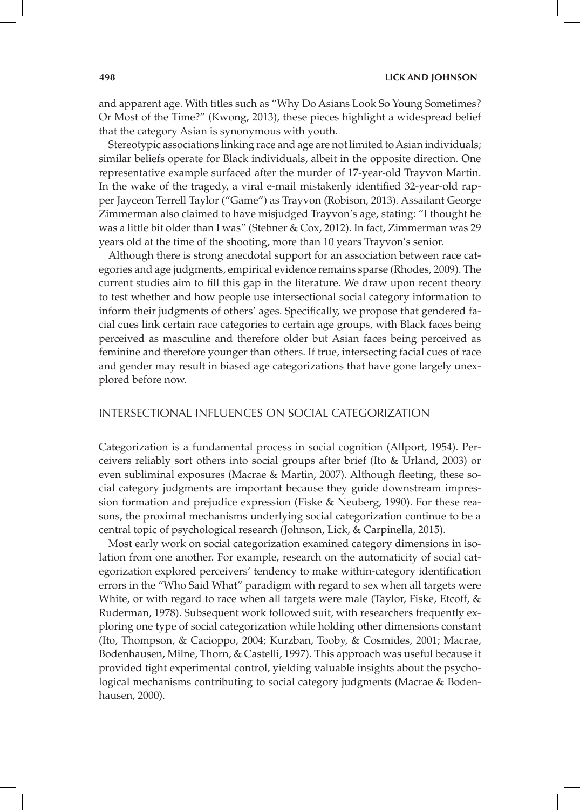and apparent age. With titles such as "Why Do Asians Look So Young Sometimes? Or Most of the Time?" (Kwong, 2013), these pieces highlight a widespread belief that the category Asian is synonymous with youth.

Stereotypic associations linking race and age are not limited to Asian individuals; similar beliefs operate for Black individuals, albeit in the opposite direction. One representative example surfaced after the murder of 17-year-old Trayvon Martin. In the wake of the tragedy, a viral e-mail mistakenly identified 32-year-old rapper Jayceon Terrell Taylor ("Game") as Trayvon (Robison, 2013). Assailant George Zimmerman also claimed to have misjudged Trayvon's age, stating: "I thought he was a little bit older than I was" (Stebner & Cox, 2012). In fact, Zimmerman was 29 years old at the time of the shooting, more than 10 years Trayvon's senior.

Although there is strong anecdotal support for an association between race categories and age judgments, empirical evidence remains sparse (Rhodes, 2009). The current studies aim to fill this gap in the literature. We draw upon recent theory to test whether and how people use intersectional social category information to inform their judgments of others' ages. Specifically, we propose that gendered facial cues link certain race categories to certain age groups, with Black faces being perceived as masculine and therefore older but Asian faces being perceived as feminine and therefore younger than others. If true, intersecting facial cues of race and gender may result in biased age categorizations that have gone largely unexplored before now.

## INTERSECTIONAL INFLUENCES ON SOCIAL CATEGORIZATION

Categorization is a fundamental process in social cognition (Allport, 1954). Perceivers reliably sort others into social groups after brief (Ito & Urland, 2003) or even subliminal exposures (Macrae & Martin, 2007). Although fleeting, these social category judgments are important because they guide downstream impression formation and prejudice expression (Fiske & Neuberg, 1990). For these reasons, the proximal mechanisms underlying social categorization continue to be a central topic of psychological research (Johnson, Lick, & Carpinella, 2015).

Most early work on social categorization examined category dimensions in isolation from one another. For example, research on the automaticity of social categorization explored perceivers' tendency to make within-category identification errors in the "Who Said What" paradigm with regard to sex when all targets were White, or with regard to race when all targets were male (Taylor, Fiske, Etcoff, & Ruderman, 1978). Subsequent work followed suit, with researchers frequently exploring one type of social categorization while holding other dimensions constant (Ito, Thompson, & Cacioppo, 2004; Kurzban, Tooby, & Cosmides, 2001; Macrae, Bodenhausen, Milne, Thorn, & Castelli, 1997). This approach was useful because it provided tight experimental control, yielding valuable insights about the psychological mechanisms contributing to social category judgments (Macrae & Bodenhausen, 2000).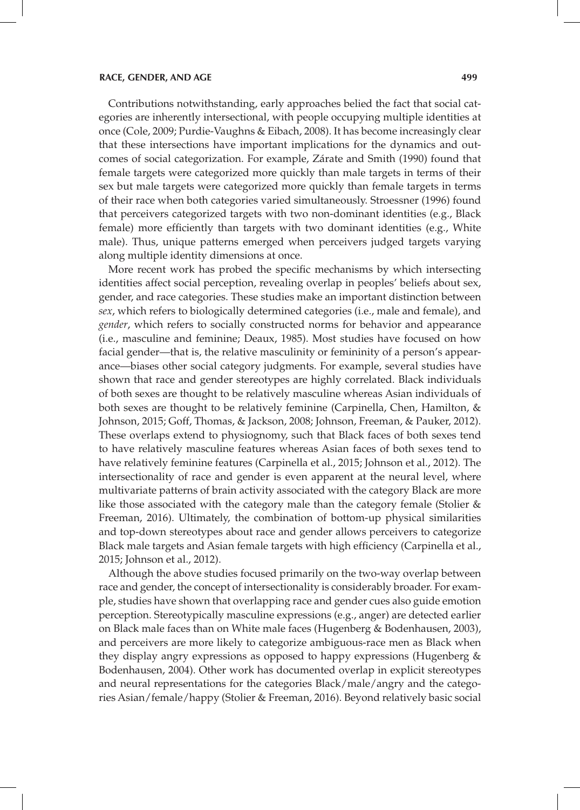Contributions notwithstanding, early approaches belied the fact that social categories are inherently intersectional, with people occupying multiple identities at once (Cole, 2009; Purdie-Vaughns & Eibach, 2008). It has become increasingly clear that these intersections have important implications for the dynamics and outcomes of social categorization. For example, Zárate and Smith (1990) found that female targets were categorized more quickly than male targets in terms of their sex but male targets were categorized more quickly than female targets in terms of their race when both categories varied simultaneously. Stroessner (1996) found that perceivers categorized targets with two non-dominant identities (e.g., Black female) more efficiently than targets with two dominant identities (e.g., White male). Thus, unique patterns emerged when perceivers judged targets varying along multiple identity dimensions at once.

More recent work has probed the specific mechanisms by which intersecting identities affect social perception, revealing overlap in peoples' beliefs about sex, gender, and race categories. These studies make an important distinction between *sex*, which refers to biologically determined categories (i.e., male and female), and *gender*, which refers to socially constructed norms for behavior and appearance (i.e., masculine and feminine; Deaux, 1985). Most studies have focused on how facial gender—that is, the relative masculinity or femininity of a person's appearance—biases other social category judgments. For example, several studies have shown that race and gender stereotypes are highly correlated. Black individuals of both sexes are thought to be relatively masculine whereas Asian individuals of both sexes are thought to be relatively feminine (Carpinella, Chen, Hamilton, & Johnson, 2015; Goff, Thomas, & Jackson, 2008; Johnson, Freeman, & Pauker, 2012). These overlaps extend to physiognomy, such that Black faces of both sexes tend to have relatively masculine features whereas Asian faces of both sexes tend to have relatively feminine features (Carpinella et al., 2015; Johnson et al., 2012). The intersectionality of race and gender is even apparent at the neural level, where multivariate patterns of brain activity associated with the category Black are more like those associated with the category male than the category female (Stolier & Freeman, 2016). Ultimately, the combination of bottom-up physical similarities and top-down stereotypes about race and gender allows perceivers to categorize Black male targets and Asian female targets with high efficiency (Carpinella et al., 2015; Johnson et al., 2012).

Although the above studies focused primarily on the two-way overlap between race and gender, the concept of intersectionality is considerably broader. For example, studies have shown that overlapping race and gender cues also guide emotion perception. Stereotypically masculine expressions (e.g., anger) are detected earlier on Black male faces than on White male faces (Hugenberg & Bodenhausen, 2003), and perceivers are more likely to categorize ambiguous-race men as Black when they display angry expressions as opposed to happy expressions (Hugenberg & Bodenhausen, 2004). Other work has documented overlap in explicit stereotypes and neural representations for the categories Black/male/angry and the categories Asian/female/happy (Stolier & Freeman, 2016). Beyond relatively basic social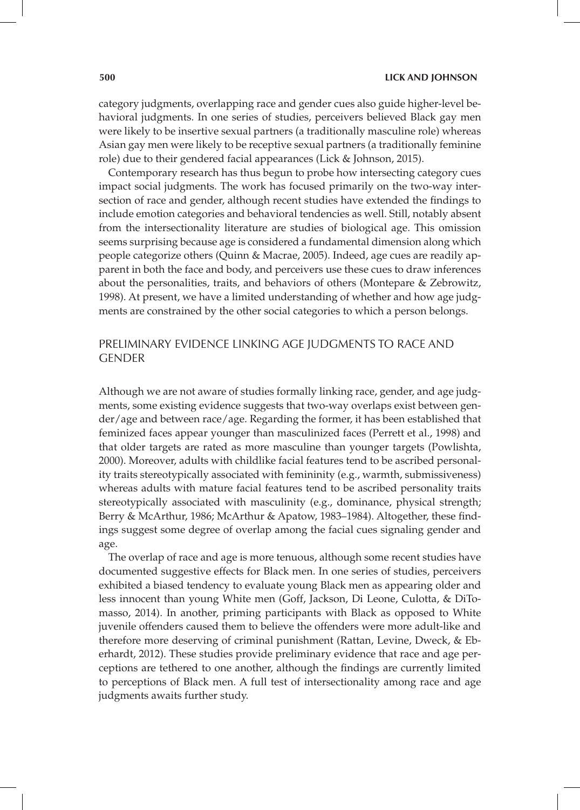category judgments, overlapping race and gender cues also guide higher-level behavioral judgments. In one series of studies, perceivers believed Black gay men were likely to be insertive sexual partners (a traditionally masculine role) whereas Asian gay men were likely to be receptive sexual partners (a traditionally feminine role) due to their gendered facial appearances (Lick & Johnson, 2015).

Contemporary research has thus begun to probe how intersecting category cues impact social judgments. The work has focused primarily on the two-way intersection of race and gender, although recent studies have extended the findings to include emotion categories and behavioral tendencies as well. Still, notably absent from the intersectionality literature are studies of biological age. This omission seems surprising because age is considered a fundamental dimension along which people categorize others (Quinn & Macrae, 2005). Indeed, age cues are readily apparent in both the face and body, and perceivers use these cues to draw inferences about the personalities, traits, and behaviors of others (Montepare & Zebrowitz, 1998). At present, we have a limited understanding of whether and how age judgments are constrained by the other social categories to which a person belongs.

# PRELIMINARY EVIDENCE LINKING AGE JUDGMENTS TO RACE AND GENDER

Although we are not aware of studies formally linking race, gender, and age judgments, some existing evidence suggests that two-way overlaps exist between gender/age and between race/age. Regarding the former, it has been established that feminized faces appear younger than masculinized faces (Perrett et al., 1998) and that older targets are rated as more masculine than younger targets (Powlishta, 2000). Moreover, adults with childlike facial features tend to be ascribed personality traits stereotypically associated with femininity (e.g., warmth, submissiveness) whereas adults with mature facial features tend to be ascribed personality traits stereotypically associated with masculinity (e.g., dominance, physical strength; Berry & McArthur, 1986; McArthur & Apatow, 1983–1984). Altogether, these findings suggest some degree of overlap among the facial cues signaling gender and age.

The overlap of race and age is more tenuous, although some recent studies have documented suggestive effects for Black men. In one series of studies, perceivers exhibited a biased tendency to evaluate young Black men as appearing older and less innocent than young White men (Goff, Jackson, Di Leone, Culotta, & DiTomasso, 2014). In another, priming participants with Black as opposed to White juvenile offenders caused them to believe the offenders were more adult-like and therefore more deserving of criminal punishment (Rattan, Levine, Dweck, & Eberhardt, 2012). These studies provide preliminary evidence that race and age perceptions are tethered to one another, although the findings are currently limited to perceptions of Black men. A full test of intersectionality among race and age judgments awaits further study.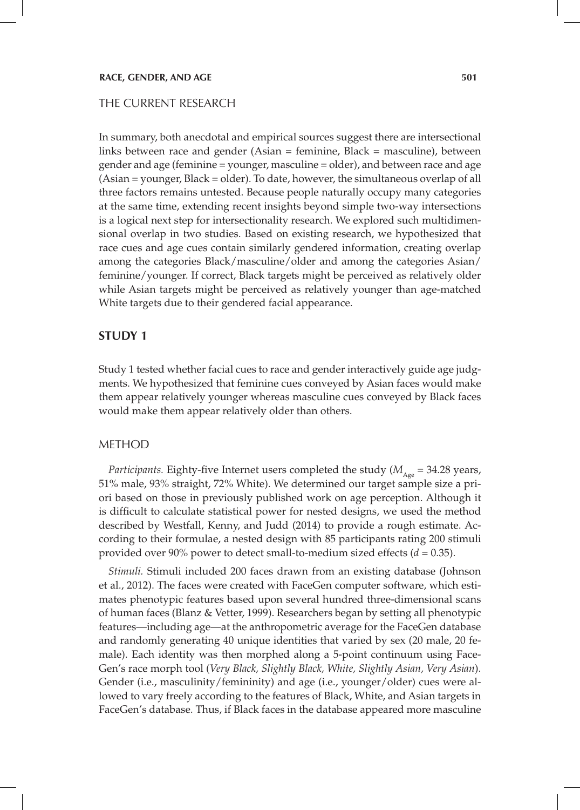## THE CURRENT RESEARCH

In summary, both anecdotal and empirical sources suggest there are intersectional links between race and gender (Asian = feminine, Black = masculine), between gender and age (feminine = younger, masculine = older), and between race and age (Asian = younger, Black = older). To date, however, the simultaneous overlap of all three factors remains untested. Because people naturally occupy many categories at the same time, extending recent insights beyond simple two-way intersections is a logical next step for intersectionality research. We explored such multidimensional overlap in two studies. Based on existing research, we hypothesized that race cues and age cues contain similarly gendered information, creating overlap among the categories Black/masculine/older and among the categories Asian/ feminine/younger. If correct, Black targets might be perceived as relatively older while Asian targets might be perceived as relatively younger than age-matched White targets due to their gendered facial appearance.

## **STUDY 1**

Study 1 tested whether facial cues to race and gender interactively guide age judgments. We hypothesized that feminine cues conveyed by Asian faces would make them appear relatively younger whereas masculine cues conveyed by Black faces would make them appear relatively older than others.

## METHOD

*Participants.* Eighty-five Internet users completed the study ( $M_{A_{\text{ave}}}$  = 34.28 years, 51% male, 93% straight, 72% White). We determined our target sample size a priori based on those in previously published work on age perception. Although it is difficult to calculate statistical power for nested designs, we used the method described by Westfall, Kenny, and Judd (2014) to provide a rough estimate. According to their formulae, a nested design with 85 participants rating 200 stimuli provided over 90% power to detect small-to-medium sized effects (*d* = 0.35).

*Stimuli.* Stimuli included 200 faces drawn from an existing database (Johnson et al., 2012). The faces were created with FaceGen computer software, which estimates phenotypic features based upon several hundred three-dimensional scans of human faces (Blanz & Vetter, 1999). Researchers began by setting all phenotypic features—including age—at the anthropometric average for the FaceGen database and randomly generating 40 unique identities that varied by sex (20 male, 20 female). Each identity was then morphed along a 5-point continuum using Face-Gen's race morph tool (*Very Black, Slightly Black, White, Slightly Asian, Very Asian*). Gender (i.e., masculinity/femininity) and age (i.e., younger/older) cues were allowed to vary freely according to the features of Black, White, and Asian targets in FaceGen's database. Thus, if Black faces in the database appeared more masculine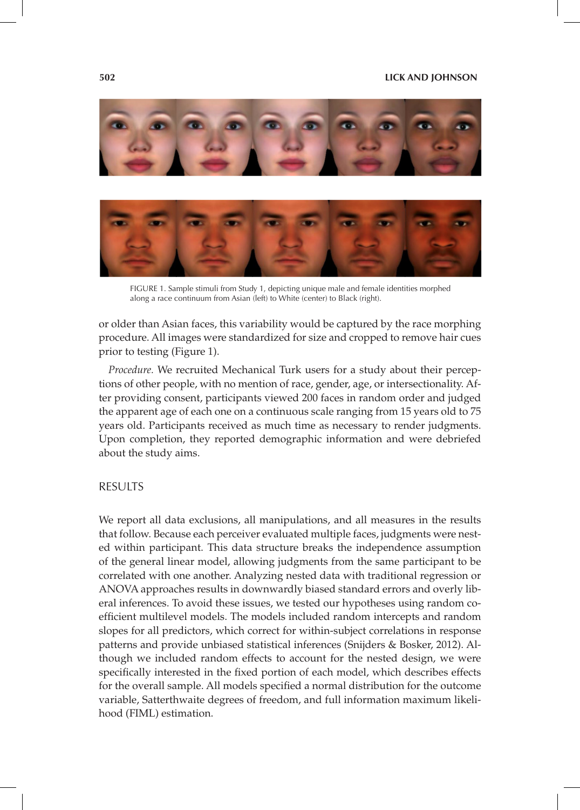



FIGURE 1. Sample stimuli from Study 1, depicting unique male and female identities morphed along a race continuum from Asian (left) to White (center) to Black (right).

or older than Asian faces, this variability would be captured by the race morphing procedure. All images were standardized for size and cropped to remove hair cues prior to testing (Figure 1).

*Procedure.* We recruited Mechanical Turk users for a study about their perceptions of other people, with no mention of race, gender, age, or intersectionality. After providing consent, participants viewed 200 faces in random order and judged the apparent age of each one on a continuous scale ranging from 15 years old to 75 years old. Participants received as much time as necessary to render judgments. Upon completion, they reported demographic information and were debriefed about the study aims.

## RESULTS

We report all data exclusions, all manipulations, and all measures in the results that follow. Because each perceiver evaluated multiple faces, judgments were nested within participant. This data structure breaks the independence assumption of the general linear model, allowing judgments from the same participant to be correlated with one another. Analyzing nested data with traditional regression or ANOVA approaches results in downwardly biased standard errors and overly liberal inferences. To avoid these issues, we tested our hypotheses using random coefficient multilevel models. The models included random intercepts and random slopes for all predictors, which correct for within-subject correlations in response patterns and provide unbiased statistical inferences (Snijders & Bosker, 2012). Although we included random effects to account for the nested design, we were specifically interested in the fixed portion of each model, which describes effects for the overall sample. All models specified a normal distribution for the outcome variable, Satterthwaite degrees of freedom, and full information maximum likelihood (FIML) estimation.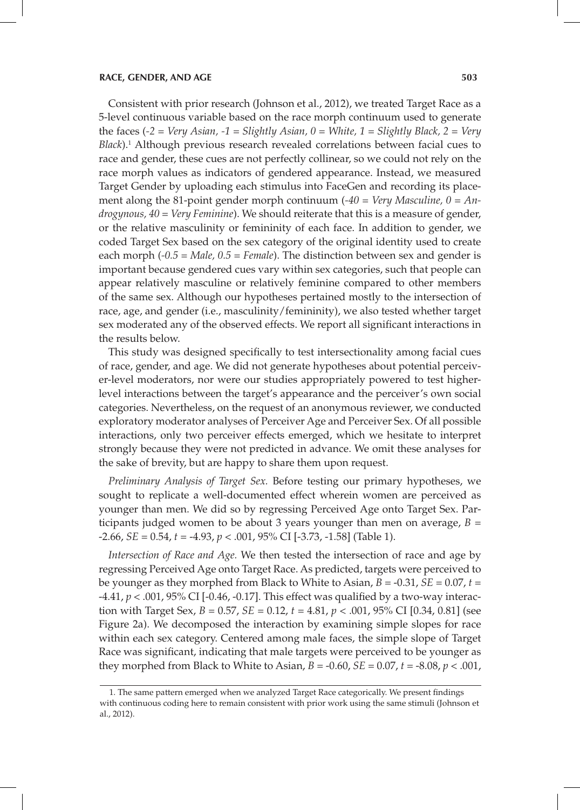Consistent with prior research (Johnson et al., 2012), we treated Target Race as a 5-level continuous variable based on the race morph continuum used to generate the faces (*-2 = Very Asian, -1 = Slightly Asian, 0 = White, 1 = Slightly Black, 2 = Very*  Black).<sup>1</sup> Although previous research revealed correlations between facial cues to race and gender, these cues are not perfectly collinear, so we could not rely on the race morph values as indicators of gendered appearance. Instead, we measured Target Gender by uploading each stimulus into FaceGen and recording its placement along the 81-point gender morph continuum (*-40 = Very Masculine, 0 = Androgynous, 40 = Very Feminine*). We should reiterate that this is a measure of gender, or the relative masculinity or femininity of each face. In addition to gender, we coded Target Sex based on the sex category of the original identity used to create each morph (*-0.5 = Male, 0.5 = Female*). The distinction between sex and gender is important because gendered cues vary within sex categories, such that people can appear relatively masculine or relatively feminine compared to other members of the same sex. Although our hypotheses pertained mostly to the intersection of race, age, and gender (i.e., masculinity/femininity), we also tested whether target sex moderated any of the observed effects. We report all significant interactions in the results below.

This study was designed specifically to test intersectionality among facial cues of race, gender, and age. We did not generate hypotheses about potential perceiver-level moderators, nor were our studies appropriately powered to test higherlevel interactions between the target's appearance and the perceiver's own social categories. Nevertheless, on the request of an anonymous reviewer, we conducted exploratory moderator analyses of Perceiver Age and Perceiver Sex. Of all possible interactions, only two perceiver effects emerged, which we hesitate to interpret strongly because they were not predicted in advance. We omit these analyses for the sake of brevity, but are happy to share them upon request.

*Preliminary Analysis of Target Sex.* Before testing our primary hypotheses, we sought to replicate a well-documented effect wherein women are perceived as younger than men. We did so by regressing Perceived Age onto Target Sex. Participants judged women to be about 3 years younger than men on average, *B* = -2.66, *SE* = 0.54, *t* = -4.93, *p* < .001, 95% CI [-3.73, -1.58] (Table 1).

*Intersection of Race and Age.* We then tested the intersection of race and age by regressing Perceived Age onto Target Race. As predicted, targets were perceived to be younger as they morphed from Black to White to Asian, *B* = -0.31, *SE* = 0.07, *t* = -4.41, *p* < .001, 95% CI [-0.46, -0.17]. This effect was qualified by a two-way interaction with Target Sex,  $B = 0.57$ ,  $SE = 0.12$ ,  $t = 4.81$ ,  $p < .001$ , 95% CI [0.34, 0.81] (see Figure 2a). We decomposed the interaction by examining simple slopes for race within each sex category. Centered among male faces, the simple slope of Target Race was significant, indicating that male targets were perceived to be younger as they morphed from Black to White to Asian,  $B = -0.60$ ,  $SE = 0.07$ ,  $t = -8.08$ ,  $p < .001$ ,

<sup>1.</sup> The same pattern emerged when we analyzed Target Race categorically. We present findings with continuous coding here to remain consistent with prior work using the same stimuli (Johnson et al., 2012).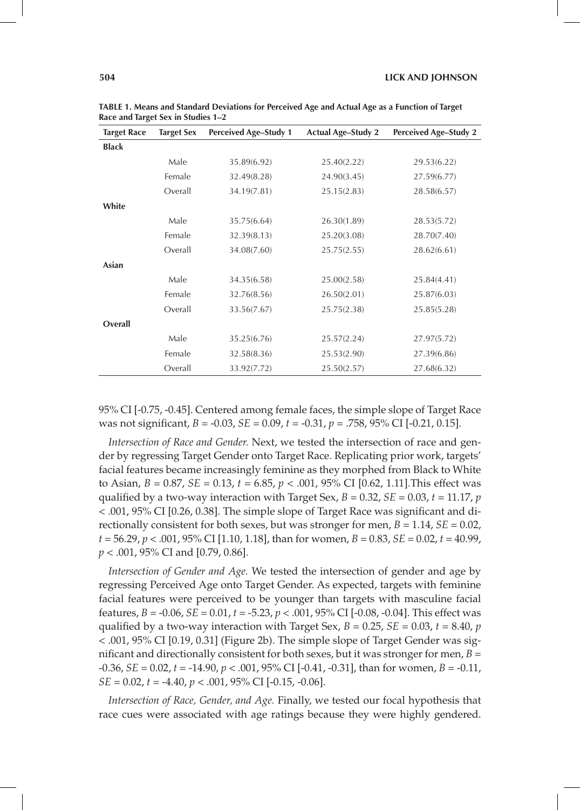| <b>Target Race</b> | <b>Target Sex</b> | <b>Perceived Age-Study 1</b> | <b>Actual Age-Study 2</b> | <b>Perceived Age-Study 2</b> |
|--------------------|-------------------|------------------------------|---------------------------|------------------------------|
| <b>Black</b>       |                   |                              |                           |                              |
|                    | Male              | 35.89(6.92)                  | 25.40(2.22)               | 29.53(6.22)                  |
|                    | Female            | 32.49(8.28)                  | 24.90(3.45)               | 27.59(6.77)                  |
|                    | Overall           | 34.19(7.81)                  | 25.15(2.83)               | 28.58(6.57)                  |
| White              |                   |                              |                           |                              |
|                    | Male              | 35.75(6.64)                  | 26.30(1.89)               | 28.53(5.72)                  |
|                    | Female            | 32.39(8.13)                  | 25.20(3.08)               | 28.70(7.40)                  |
|                    | Overall           | 34.08(7.60)                  | 25.75(2.55)               | 28.62(6.61)                  |
| Asian              |                   |                              |                           |                              |
|                    | Male              | 34.35(6.58)                  | 25.00(2.58)               | 25.84(4.41)                  |
|                    | Female            | 32.76(8.56)                  | 26.50(2.01)               | 25.87(6.03)                  |
|                    | Overall           | 33.56(7.67)                  | 25.75(2.38)               | 25.85(5.28)                  |
| Overall            |                   |                              |                           |                              |
|                    | Male              | 35.25(6.76)                  | 25.57(2.24)               | 27.97(5.72)                  |
|                    | Female            | 32.58(8.36)                  | 25.53(2.90)               | 27.39(6.86)                  |
|                    | Overall           | 33.92(7.72)                  | 25.50(2.57)               | 27.68(6.32)                  |

**TABLE 1. Means and Standard Deviations for Perceived Age and Actual Age as a Function of Target Race and Target Sex in Studies 1–2**

95% CI [-0.75, -0.45]. Centered among female faces, the simple slope of Target Race was not significant, *B* = -0.03, *SE* = 0.09, *t* = -0.31, *p* = .758, 95% CI [-0.21, 0.15].

*Intersection of Race and Gender.* Next, we tested the intersection of race and gender by regressing Target Gender onto Target Race. Replicating prior work, targets' facial features became increasingly feminine as they morphed from Black to White to Asian, *B =* 0.87, *SE* = 0.13, *t* = 6.85, *p* < .001, 95% CI [0.62, 1.11].This effect was qualified by a two-way interaction with Target Sex,  $B = 0.32$ ,  $SE = 0.03$ ,  $t = 11.17$ ,  $p$ < .001, 95% CI [0.26, 0.38]. The simple slope of Target Race was significant and directionally consistent for both sexes, but was stronger for men,  $B = 1.14$ ,  $SE = 0.02$ , *t* = 56.29, *p* < .001, 95% CI [1.10, 1.18], than for women, *B* = 0.83, *SE* = 0.02, *t* = 40.99, *p* < .001, 95% CI and [0.79, 0.86].

*Intersection of Gender and Age.* We tested the intersection of gender and age by regressing Perceived Age onto Target Gender. As expected, targets with feminine facial features were perceived to be younger than targets with masculine facial features, *B* = -0.06, *SE* = 0.01, *t* = -5.23, *p* < .001, 95% CI [-0.08, -0.04]. This effect was qualified by a two-way interaction with Target Sex,  $B = 0.25$ ,  $SE = 0.03$ ,  $t = 8.40$ ,  $p$ < .001, 95% CI [0.19, 0.31] (Figure 2b). The simple slope of Target Gender was significant and directionally consistent for both sexes, but it was stronger for men, *B* = -0.36, *SE* = 0.02, *t* = -14.90, *p* < .001, 95% CI [-0.41, -0.31], than for women, *B* = -0.11, *SE* = 0.02, *t* = -4.40, *p* < .001, 95% CI [-0.15, -0.06].

*Intersection of Race, Gender, and Age.* Finally, we tested our focal hypothesis that race cues were associated with age ratings because they were highly gendered.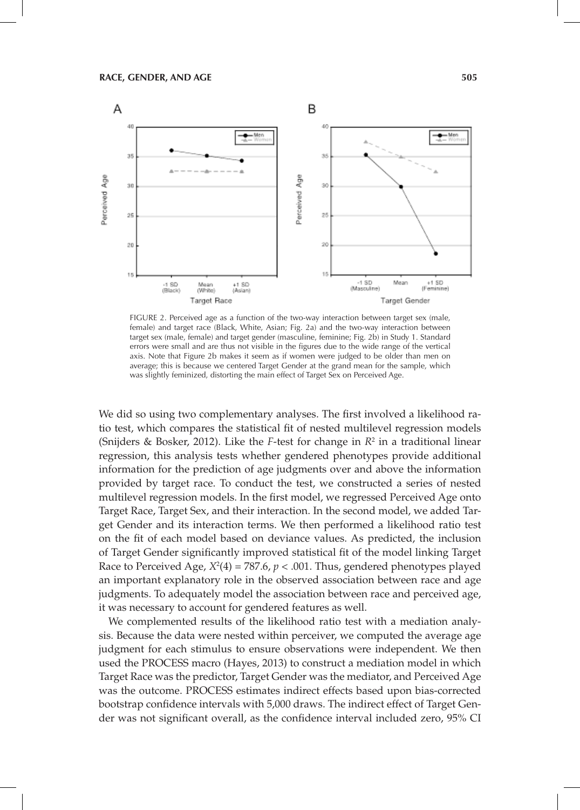

FIGURE 2. Perceived age as a function of the two-way interaction between target sex (male, female) and target race (Black, White, Asian; Fig. 2a) and the two-way interaction between target sex (male, female) and target gender (masculine, feminine; Fig. 2b) in Study 1. Standard errors were small and are thus not visible in the figures due to the wide range of the vertical axis. Note that Figure 2b makes it seem as if women were judged to be older than men on average; this is because we centered Target Gender at the grand mean for the sample, which was slightly feminized, distorting the main effect of Target Sex on Perceived Age.

We did so using two complementary analyses. The first involved a likelihood ratio test, which compares the statistical fit of nested multilevel regression models (Snijders & Bosker, 2012). Like the *F*-test for change in  $R^2$  in a traditional linear regression, this analysis tests whether gendered phenotypes provide additional information for the prediction of age judgments over and above the information provided by target race. To conduct the test, we constructed a series of nested multilevel regression models. In the first model, we regressed Perceived Age onto Target Race, Target Sex, and their interaction. In the second model, we added Target Gender and its interaction terms. We then performed a likelihood ratio test on the fit of each model based on deviance values. As predicted, the inclusion of Target Gender significantly improved statistical fit of the model linking Target Race to Perceived Age,  $X^2(4) = 787.6$ ,  $p < .001$ . Thus, gendered phenotypes played an important explanatory role in the observed association between race and age judgments. To adequately model the association between race and perceived age, it was necessary to account for gendered features as well.

We complemented results of the likelihood ratio test with a mediation analysis. Because the data were nested within perceiver, we computed the average age judgment for each stimulus to ensure observations were independent. We then used the PROCESS macro (Hayes, 2013) to construct a mediation model in which Target Race was the predictor, Target Gender was the mediator, and Perceived Age was the outcome. PROCESS estimates indirect effects based upon bias-corrected bootstrap confidence intervals with 5,000 draws. The indirect effect of Target Gender was not significant overall, as the confidence interval included zero, 95% CI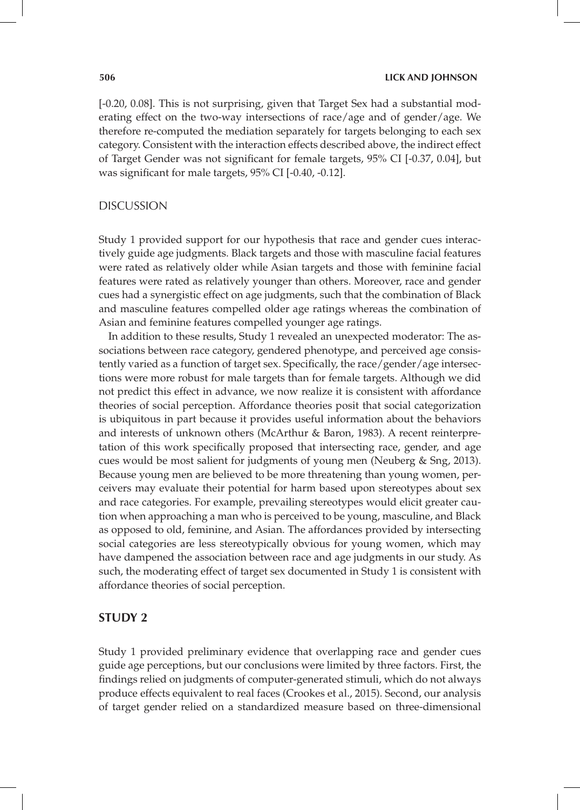[-0.20, 0.08]. This is not surprising, given that Target Sex had a substantial moderating effect on the two-way intersections of race/age and of gender/age. We therefore re-computed the mediation separately for targets belonging to each sex category. Consistent with the interaction effects described above, the indirect effect of Target Gender was not significant for female targets, 95% CI [-0.37, 0.04], but was significant for male targets, 95% CI [-0.40, -0.12].

## DISCUSSION

Study 1 provided support for our hypothesis that race and gender cues interactively guide age judgments. Black targets and those with masculine facial features were rated as relatively older while Asian targets and those with feminine facial features were rated as relatively younger than others. Moreover, race and gender cues had a synergistic effect on age judgments, such that the combination of Black and masculine features compelled older age ratings whereas the combination of Asian and feminine features compelled younger age ratings.

In addition to these results, Study 1 revealed an unexpected moderator: The associations between race category, gendered phenotype, and perceived age consistently varied as a function of target sex. Specifically, the race/gender/age intersections were more robust for male targets than for female targets. Although we did not predict this effect in advance, we now realize it is consistent with affordance theories of social perception. Affordance theories posit that social categorization is ubiquitous in part because it provides useful information about the behaviors and interests of unknown others (McArthur & Baron, 1983). A recent reinterpretation of this work specifically proposed that intersecting race, gender, and age cues would be most salient for judgments of young men (Neuberg & Sng, 2013). Because young men are believed to be more threatening than young women, perceivers may evaluate their potential for harm based upon stereotypes about sex and race categories. For example, prevailing stereotypes would elicit greater caution when approaching a man who is perceived to be young, masculine, and Black as opposed to old, feminine, and Asian. The affordances provided by intersecting social categories are less stereotypically obvious for young women, which may have dampened the association between race and age judgments in our study. As such, the moderating effect of target sex documented in Study 1 is consistent with affordance theories of social perception.

## **STUDY 2**

Study 1 provided preliminary evidence that overlapping race and gender cues guide age perceptions, but our conclusions were limited by three factors. First, the findings relied on judgments of computer-generated stimuli, which do not always produce effects equivalent to real faces (Crookes et al., 2015). Second, our analysis of target gender relied on a standardized measure based on three-dimensional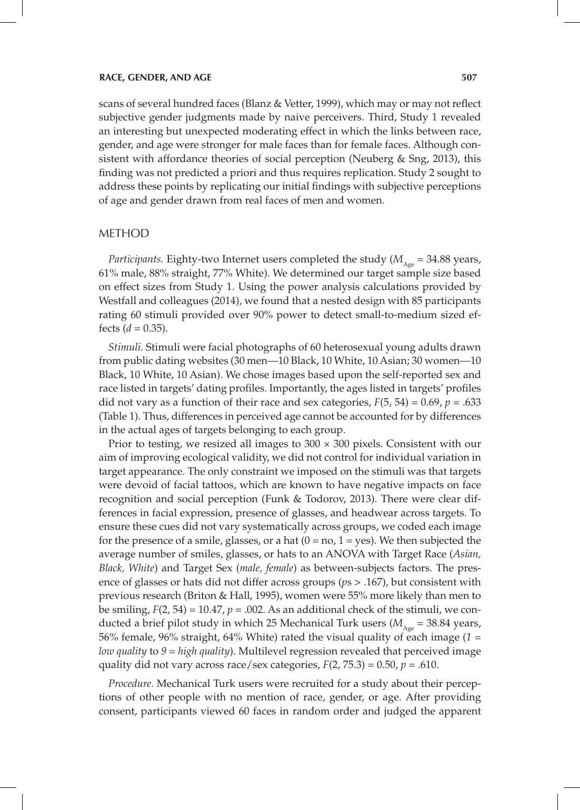scans of several hundred faces (Blanz & Vetter, 1999), which may or may not reflect subjective gender judgments made by naive perceivers. Third, Study 1 revealed an interesting but unexpected moderating effect in which the links between race, gender, and age were stronger for male faces than for female faces. Although consistent with affordance theories of social perception (Neuberg & Sng, 2013), this finding was not predicted a priori and thus requires replication. Study 2 sought to address these points by replicating our initial findings with subjective perceptions of age and gender drawn from real faces of men and women.

### METHOD

*Participants.* Eighty-two Internet users completed the study ( $M_{\text{Age}} = 34.88$  years, 61% male, 88% straight, 77% White). We determined our target sample size based on effect sizes from Study 1. Using the power analysis calculations provided by Westfall and colleagues (2014), we found that a nested design with 85 participants rating 60 stimuli provided over 90% power to detect small-to-medium sized effects  $(d = 0.35)$ .

*Stimuli.* Stimuli were facial photographs of 60 heterosexual young adults drawn from public dating websites (30 men—10 Black, 10 White, 10 Asian; 30 women—10 Black, 10 White, 10 Asian). We chose images based upon the self-reported sex and race listed in targets' dating profiles. Importantly, the ages listed in targets' profiles did not vary as a function of their race and sex categories,  $F(5, 54) = 0.69$ ,  $p = .633$ (Table 1). Thus, differences in perceived age cannot be accounted for by differences in the actual ages of targets belonging to each group.

Prior to testing, we resized all images to  $300 \times 300$  pixels. Consistent with our aim of improving ecological validity, we did not control for individual variation in target appearance. The only constraint we imposed on the stimuli was that targets were devoid of facial tattoos, which are known to have negative impacts on face recognition and social perception (Funk & Todorov, 2013). There were clear differences in facial expression, presence of glasses, and headwear across targets. To ensure these cues did not vary systematically across groups, we coded each image for the presence of a smile, glasses, or a hat  $(0 = no, 1 = yes)$ . We then subjected the average number of smiles, glasses, or hats to an ANOVA with Target Race (*Asian, Black, White*) and Target Sex (*male, female*) as between-subjects factors. The presence of glasses or hats did not differ across groups (*p*s > .167), but consistent with previous research (Briton & Hall, 1995), women were 55% more likely than men to be smiling,  $F(2, 54) = 10.47$ ,  $p = .002$ . As an additional check of the stimuli, we conducted a brief pilot study in which 25 Mechanical Turk users ( $M_{A_{\text{opt}}}$  = 38.84 years, 56% female, 96% straight, 64% White) rated the visual quality of each image (*1 = low quality* to *9 = high quality*). Multilevel regression revealed that perceived image quality did not vary across race/sex categories,  $F(2, 75.3) = 0.50$ ,  $p = .610$ .

*Procedure.* Mechanical Turk users were recruited for a study about their perceptions of other people with no mention of race, gender, or age. After providing consent, participants viewed 60 faces in random order and judged the apparent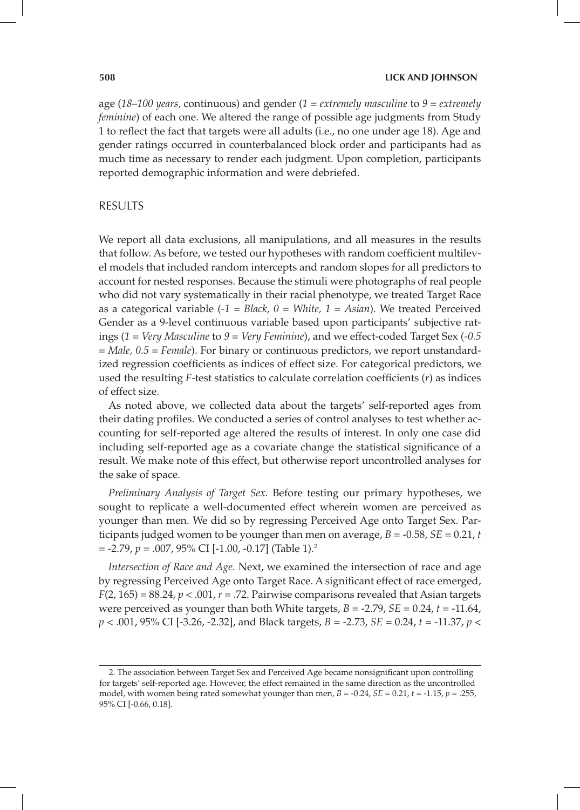#### **508 LICK AND JOHNSON**

age (*18–100 years,* continuous) and gender (*1 = extremely masculine* to *9 = extremely feminine*) of each one. We altered the range of possible age judgments from Study 1 to reflect the fact that targets were all adults (i.e., no one under age 18). Age and gender ratings occurred in counterbalanced block order and participants had as much time as necessary to render each judgment. Upon completion, participants reported demographic information and were debriefed.

## RESULTS

We report all data exclusions, all manipulations, and all measures in the results that follow. As before, we tested our hypotheses with random coefficient multilevel models that included random intercepts and random slopes for all predictors to account for nested responses. Because the stimuli were photographs of real people who did not vary systematically in their racial phenotype, we treated Target Race as a categorical variable (*-1 = Black, 0 = White, 1 = Asian*). We treated Perceived Gender as a 9-level continuous variable based upon participants' subjective ratings (*1 = Very Masculine* to *9 = Very Feminine*), and we effect-coded Target Sex (*-0.5 = Male, 0.5 = Female*). For binary or continuous predictors, we report unstandardized regression coefficients as indices of effect size. For categorical predictors, we used the resulting *F*-test statistics to calculate correlation coefficients (*r*) as indices of effect size.

As noted above, we collected data about the targets' self-reported ages from their dating profiles. We conducted a series of control analyses to test whether accounting for self-reported age altered the results of interest. In only one case did including self-reported age as a covariate change the statistical significance of a result. We make note of this effect, but otherwise report uncontrolled analyses for the sake of space.

*Preliminary Analysis of Target Sex.* Before testing our primary hypotheses, we sought to replicate a well-documented effect wherein women are perceived as younger than men. We did so by regressing Perceived Age onto Target Sex. Participants judged women to be younger than men on average,  $B = -0.58$ ,  $SE = 0.21$ , *t*  $= -2.79, p = .007, 95\% \text{ CI}$  [-1.00, -0.17] (Table 1).<sup>2</sup>

*Intersection of Race and Age.* Next, we examined the intersection of race and age by regressing Perceived Age onto Target Race. A significant effect of race emerged,  $F(2, 165) = 88.24$ ,  $p < .001$ ,  $r = .72$ . Pairwise comparisons revealed that Asian targets were perceived as younger than both White targets, *B* = -2.79, *SE* = 0.24, *t* = -11.64, *p* < .001, 95% CI [-3.26, -2.32], and Black targets, *B* = -2.73, *SE* = 0.24, *t* = -11.37, *p* <

<sup>2.</sup> The association between Target Sex and Perceived Age became nonsignificant upon controlling for targets' self-reported age. However, the effect remained in the same direction as the uncontrolled model, with women being rated somewhat younger than men,  $B = -0.24$ ,  $SE = 0.21$ ,  $t = -1.15$ ,  $p = .255$ , 95% CI [-0.66, 0.18].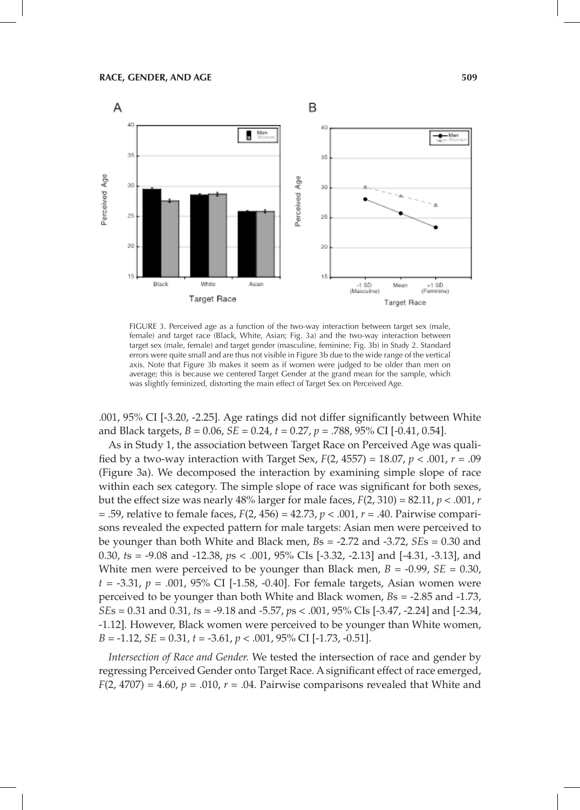

FIGURE 3. Perceived age as a function of the two-way interaction between target sex (male, female) and target race (Black, White, Asian; Fig. 3a) and the two-way interaction between target sex (male, female) and target gender (masculine, feminine; Fig. 3b) in Study 2. Standard errors were quite small and are thus not visible in Figure 3b due to the wide range of the vertical axis. Note that Figure 3b makes it seem as if women were judged to be older than men on average; this is because we centered Target Gender at the grand mean for the sample, which was slightly feminized, distorting the main effect of Target Sex on Perceived Age.

.001, 95% CI [-3.20, -2.25]. Age ratings did not differ significantly between White and Black targets, *B* = 0.06, *SE* = 0.24, *t* = 0.27, *p* = .788, 95% CI [-0.41, 0.54].

As in Study 1, the association between Target Race on Perceived Age was qualified by a two-way interaction with Target Sex, *F*(2, 4557) = 18.07, *p* < .001, *r* = .09 (Figure 3a). We decomposed the interaction by examining simple slope of race within each sex category. The simple slope of race was significant for both sexes, but the effect size was nearly 48% larger for male faces,  $F(2, 310) = 82.11$ ,  $p < .001$ ,  $r$ = .59, relative to female faces, *F*(2, 456) = 42.73, *p* < .001, *r* = .40. Pairwise comparisons revealed the expected pattern for male targets: Asian men were perceived to be younger than both White and Black men, *B*s = -2.72 and -3.72, *SE*s = 0.30 and 0.30, *t*s = -9.08 and -12.38, *p*s < .001, 95% CIs [-3.32, -2.13] and [-4.31, -3.13], and White men were perceived to be younger than Black men,  $B = -0.99$ ,  $SE = 0.30$ , *t* = -3.31, *p* = .001, 95% CI [-1.58, -0.40]. For female targets, Asian women were perceived to be younger than both White and Black women, *B*s = -2.85 and -1.73, *SE*s = 0.31 and 0.31, *t*s = -9.18 and -5.57, *p*s < .001, 95% CIs [-3.47, -2.24] and [-2.34, -1.12]. However, Black women were perceived to be younger than White women, *B* = -1.12, *SE* = 0.31, *t =* -3.61, *p* < .001, 95% CI [-1.73, -0.51].

*Intersection of Race and Gender.* We tested the intersection of race and gender by regressing Perceived Gender onto Target Race. A significant effect of race emerged,  $F(2, 4707) = 4.60$ ,  $p = .010$ ,  $r = .04$ . Pairwise comparisons revealed that White and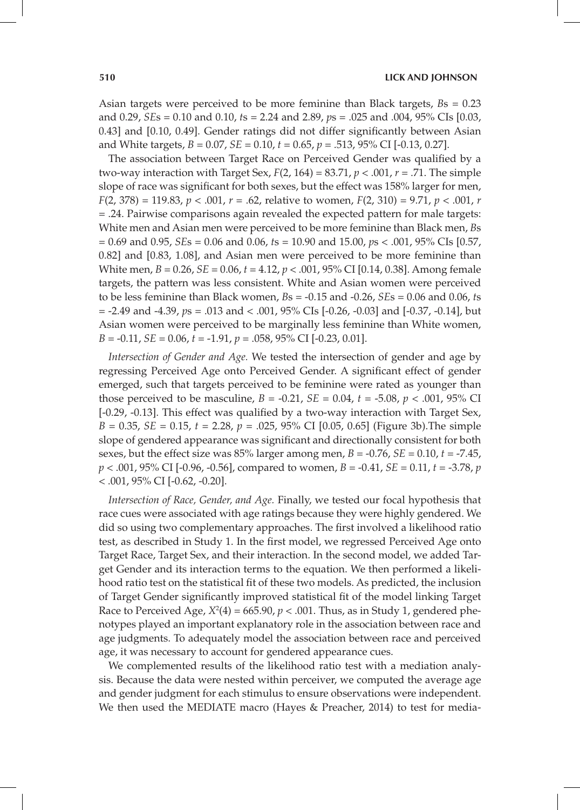Asian targets were perceived to be more feminine than Black targets, *B*s = 0.23 and 0.29, *SE*s = 0.10 and 0.10, *t*s = 2.24 and 2.89, *p*s = .025 and .004, 95% CIs [0.03, 0.43] and [0.10, 0.49]. Gender ratings did not differ significantly between Asian and White targets, *B* = 0.07, *SE* = 0.10, *t* = 0.65, *p* = .513, 95% CI [-0.13, 0.27].

The association between Target Race on Perceived Gender was qualified by a two-way interaction with Target Sex,  $F(2, 164) = 83.71$ ,  $p < .001$ ,  $r = .71$ . The simple slope of race was significant for both sexes, but the effect was 158% larger for men, *F*(2, 378) = 119.83, *p* < .001, *r* = .62, relative to women, *F*(2, 310) = 9.71, *p* < .001, *r* = .24. Pairwise comparisons again revealed the expected pattern for male targets: White men and Asian men were perceived to be more feminine than Black men, *B*s = 0.69 and 0.95, *SE*s = 0.06 and 0.06, *t*s = 10.90 and 15.00, *p*s < .001, 95% CIs [0.57, 0.82] and [0.83, 1.08], and Asian men were perceived to be more feminine than White men, *B* = 0.26, *SE* = 0.06, *t* = 4.12, *p* < .001, 95% CI [0.14, 0.38]. Among female targets, the pattern was less consistent. White and Asian women were perceived to be less feminine than Black women, *B*s = -0.15 and -0.26, *SE*s = 0.06 and 0.06, *t*s = -2.49 and -4.39, *p*s = .013 and < .001, 95% CIs [-0.26, -0.03] and [-0.37, -0.14], but Asian women were perceived to be marginally less feminine than White women, *B* = -0.11, *SE* = 0.06, *t* = -1.91, *p* = .058, 95% CI [-0.23, 0.01].

*Intersection of Gender and Age.* We tested the intersection of gender and age by regressing Perceived Age onto Perceived Gender. A significant effect of gender emerged, such that targets perceived to be feminine were rated as younger than those perceived to be masculine,  $B = -0.21$ ,  $SE = 0.04$ ,  $t = -5.08$ ,  $p < .001$ ,  $95\%$  CI [-0.29, -0.13]. This effect was qualified by a two-way interaction with Target Sex, *B* = 0.35, *SE* = 0.15, *t* = 2.28, *p* = .025, 95% CI [0.05, 0.65] (Figure 3b).The simple slope of gendered appearance was significant and directionally consistent for both sexes, but the effect size was  $85\%$  larger among men,  $B = -0.76$ ,  $SE = 0.10$ ,  $t = -7.45$ , *p* < .001, 95% CI [-0.96, -0.56], compared to women, *B* = -0.41, *SE* = 0.11, *t* = -3.78, *p*  $<$  .001, 95% CI [-0.62, -0.20].

*Intersection of Race, Gender, and Age.* Finally, we tested our focal hypothesis that race cues were associated with age ratings because they were highly gendered. We did so using two complementary approaches. The first involved a likelihood ratio test, as described in Study 1. In the first model, we regressed Perceived Age onto Target Race, Target Sex, and their interaction. In the second model, we added Target Gender and its interaction terms to the equation. We then performed a likelihood ratio test on the statistical fit of these two models. As predicted, the inclusion of Target Gender significantly improved statistical fit of the model linking Target Race to Perceived Age,  $X^2(4) = 665.90$ ,  $p < .001$ . Thus, as in Study 1, gendered phenotypes played an important explanatory role in the association between race and age judgments. To adequately model the association between race and perceived age, it was necessary to account for gendered appearance cues.

We complemented results of the likelihood ratio test with a mediation analysis. Because the data were nested within perceiver, we computed the average age and gender judgment for each stimulus to ensure observations were independent. We then used the MEDIATE macro (Hayes & Preacher, 2014) to test for media-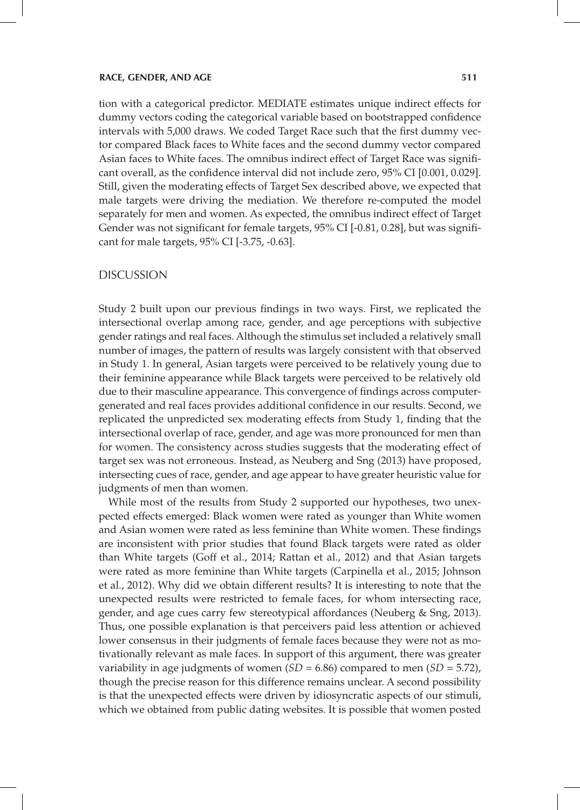#### **RACE, GENDER, AND AGE 511**

tion with a categorical predictor. MEDIATE estimates unique indirect effects for dummy vectors coding the categorical variable based on bootstrapped confidence intervals with 5,000 draws. We coded Target Race such that the first dummy vector compared Black faces to White faces and the second dummy vector compared Asian faces to White faces. The omnibus indirect effect of Target Race was significant overall, as the confidence interval did not include zero, 95% CI [0.001, 0.029]. Still, given the moderating effects of Target Sex described above, we expected that male targets were driving the mediation. We therefore re-computed the model separately for men and women. As expected, the omnibus indirect effect of Target Gender was not significant for female targets, 95% CI [-0.81, 0.28], but was significant for male targets, 95% CI [-3.75, -0.63].

## DISCUSSION

Study 2 built upon our previous findings in two ways. First, we replicated the intersectional overlap among race, gender, and age perceptions with subjective gender ratings and real faces. Although the stimulus set included a relatively small number of images, the pattern of results was largely consistent with that observed in Study 1. In general, Asian targets were perceived to be relatively young due to their feminine appearance while Black targets were perceived to be relatively old due to their masculine appearance. This convergence of findings across computergenerated and real faces provides additional confidence in our results. Second, we replicated the unpredicted sex moderating effects from Study 1, finding that the intersectional overlap of race, gender, and age was more pronounced for men than for women. The consistency across studies suggests that the moderating effect of target sex was not erroneous. Instead, as Neuberg and Sng (2013) have proposed, intersecting cues of race, gender, and age appear to have greater heuristic value for judgments of men than women.

While most of the results from Study 2 supported our hypotheses, two unexpected effects emerged: Black women were rated as younger than White women and Asian women were rated as less feminine than White women. These findings are inconsistent with prior studies that found Black targets were rated as older than White targets (Goff et al., 2014; Rattan et al., 2012) and that Asian targets were rated as more feminine than White targets (Carpinella et al., 2015; Johnson et al., 2012). Why did we obtain different results? It is interesting to note that the unexpected results were restricted to female faces, for whom intersecting race, gender, and age cues carry few stereotypical affordances (Neuberg & Sng, 2013). Thus, one possible explanation is that perceivers paid less attention or achieved lower consensus in their judgments of female faces because they were not as motivationally relevant as male faces. In support of this argument, there was greater variability in age judgments of women (*SD* = 6.86) compared to men (*SD* = 5.72), though the precise reason for this difference remains unclear. A second possibility is that the unexpected effects were driven by idiosyncratic aspects of our stimuli, which we obtained from public dating websites. It is possible that women posted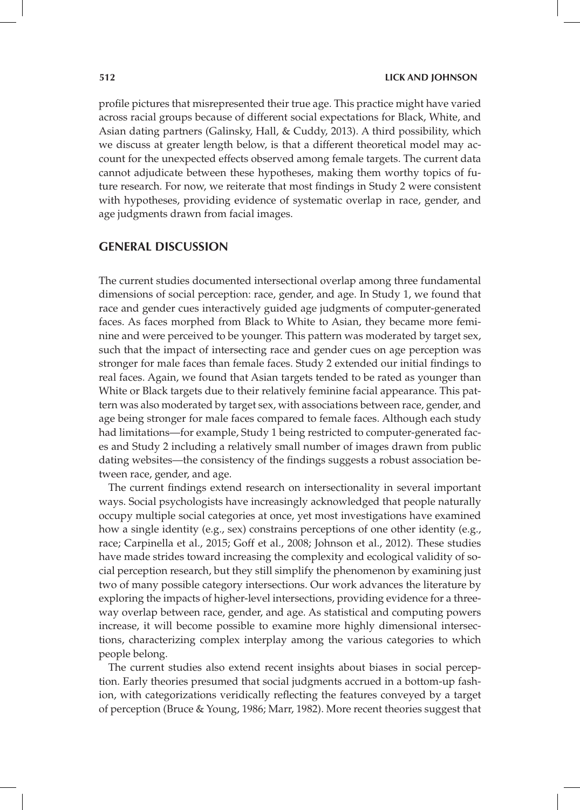profile pictures that misrepresented their true age. This practice might have varied across racial groups because of different social expectations for Black, White, and Asian dating partners (Galinsky, Hall, & Cuddy, 2013). A third possibility, which we discuss at greater length below, is that a different theoretical model may account for the unexpected effects observed among female targets. The current data cannot adjudicate between these hypotheses, making them worthy topics of future research. For now, we reiterate that most findings in Study 2 were consistent with hypotheses, providing evidence of systematic overlap in race, gender, and age judgments drawn from facial images.

## **GENERAL DISCUSSION**

The current studies documented intersectional overlap among three fundamental dimensions of social perception: race, gender, and age. In Study 1, we found that race and gender cues interactively guided age judgments of computer-generated faces. As faces morphed from Black to White to Asian, they became more feminine and were perceived to be younger. This pattern was moderated by target sex, such that the impact of intersecting race and gender cues on age perception was stronger for male faces than female faces. Study 2 extended our initial findings to real faces. Again, we found that Asian targets tended to be rated as younger than White or Black targets due to their relatively feminine facial appearance. This pattern was also moderated by target sex, with associations between race, gender, and age being stronger for male faces compared to female faces. Although each study had limitations—for example, Study 1 being restricted to computer-generated faces and Study 2 including a relatively small number of images drawn from public dating websites—the consistency of the findings suggests a robust association between race, gender, and age.

The current findings extend research on intersectionality in several important ways. Social psychologists have increasingly acknowledged that people naturally occupy multiple social categories at once, yet most investigations have examined how a single identity (e.g., sex) constrains perceptions of one other identity (e.g., race; Carpinella et al., 2015; Goff et al., 2008; Johnson et al., 2012). These studies have made strides toward increasing the complexity and ecological validity of social perception research, but they still simplify the phenomenon by examining just two of many possible category intersections. Our work advances the literature by exploring the impacts of higher-level intersections, providing evidence for a threeway overlap between race, gender, and age. As statistical and computing powers increase, it will become possible to examine more highly dimensional intersections, characterizing complex interplay among the various categories to which people belong.

The current studies also extend recent insights about biases in social perception. Early theories presumed that social judgments accrued in a bottom-up fashion, with categorizations veridically reflecting the features conveyed by a target of perception (Bruce & Young, 1986; Marr, 1982). More recent theories suggest that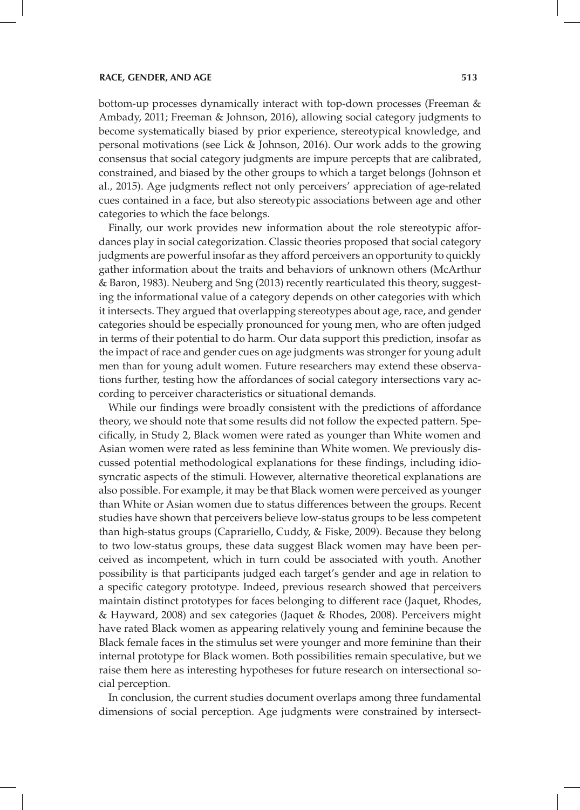#### **RACE, GENDER, AND AGE 513**

bottom-up processes dynamically interact with top-down processes (Freeman & Ambady, 2011; Freeman & Johnson, 2016), allowing social category judgments to become systematically biased by prior experience, stereotypical knowledge, and personal motivations (see Lick & Johnson, 2016). Our work adds to the growing consensus that social category judgments are impure percepts that are calibrated, constrained, and biased by the other groups to which a target belongs (Johnson et al., 2015). Age judgments reflect not only perceivers' appreciation of age-related cues contained in a face, but also stereotypic associations between age and other categories to which the face belongs.

Finally, our work provides new information about the role stereotypic affordances play in social categorization. Classic theories proposed that social category judgments are powerful insofar as they afford perceivers an opportunity to quickly gather information about the traits and behaviors of unknown others (McArthur & Baron, 1983). Neuberg and Sng (2013) recently rearticulated this theory, suggesting the informational value of a category depends on other categories with which it intersects. They argued that overlapping stereotypes about age, race, and gender categories should be especially pronounced for young men, who are often judged in terms of their potential to do harm. Our data support this prediction, insofar as the impact of race and gender cues on age judgments was stronger for young adult men than for young adult women. Future researchers may extend these observations further, testing how the affordances of social category intersections vary according to perceiver characteristics or situational demands.

While our findings were broadly consistent with the predictions of affordance theory, we should note that some results did not follow the expected pattern. Specifically, in Study 2, Black women were rated as younger than White women and Asian women were rated as less feminine than White women. We previously discussed potential methodological explanations for these findings, including idiosyncratic aspects of the stimuli. However, alternative theoretical explanations are also possible. For example, it may be that Black women were perceived as younger than White or Asian women due to status differences between the groups. Recent studies have shown that perceivers believe low-status groups to be less competent than high-status groups (Caprariello, Cuddy, & Fiske, 2009). Because they belong to two low-status groups, these data suggest Black women may have been perceived as incompetent, which in turn could be associated with youth. Another possibility is that participants judged each target's gender and age in relation to a specific category prototype. Indeed, previous research showed that perceivers maintain distinct prototypes for faces belonging to different race (Jaquet, Rhodes, & Hayward, 2008) and sex categories (Jaquet & Rhodes, 2008). Perceivers might have rated Black women as appearing relatively young and feminine because the Black female faces in the stimulus set were younger and more feminine than their internal prototype for Black women. Both possibilities remain speculative, but we raise them here as interesting hypotheses for future research on intersectional social perception.

In conclusion, the current studies document overlaps among three fundamental dimensions of social perception. Age judgments were constrained by intersect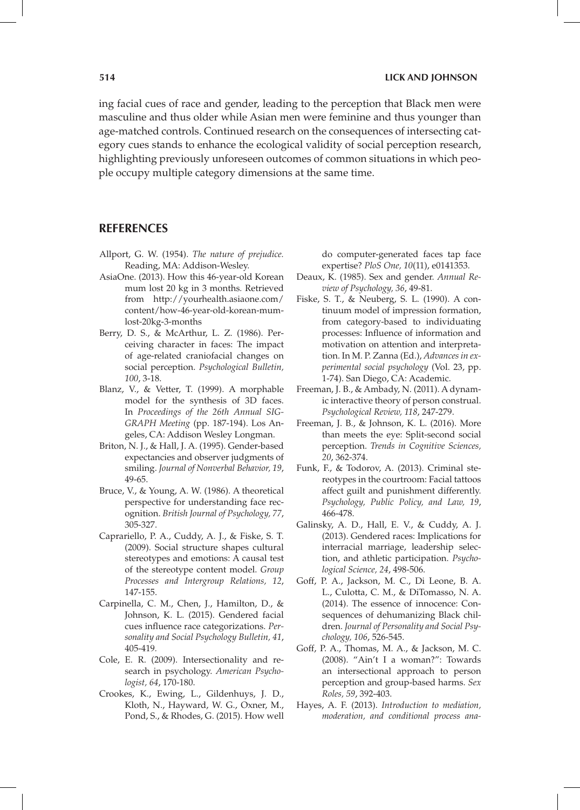ing facial cues of race and gender, leading to the perception that Black men were masculine and thus older while Asian men were feminine and thus younger than age-matched controls. Continued research on the consequences of intersecting category cues stands to enhance the ecological validity of social perception research, highlighting previously unforeseen outcomes of common situations in which people occupy multiple category dimensions at the same time.

## **REFERENCES**

- Allport, G. W. (1954). *The nature of prejudice.*  Reading, MA: Addison-Wesley.
- AsiaOne. (2013). How this 46-year-old Korean mum lost 20 kg in 3 months*.* Retrieved from http://yourhealth.asiaone.com/ content/how-46-year-old-korean-mumlost-20kg-3-months
- Berry, D. S., & McArthur, L. Z. (1986). Perceiving character in faces: The impact of age-related craniofacial changes on social perception. *Psychological Bulletin, 100*, 3-18.
- Blanz, V., & Vetter, T. (1999). A morphable model for the synthesis of 3D faces. In *Proceedings of the 26th Annual SIG-GRAPH Meeting* (pp. 187-194). Los Angeles, CA: Addison Wesley Longman.
- Briton, N. J., & Hall, J. A. (1995). Gender-based expectancies and observer judgments of smiling. *Journal of Nonverbal Behavior, 19*, 49-65.
- Bruce, V., & Young, A. W. (1986). A theoretical perspective for understanding face recognition. *British Journal of Psychology, 77*, 305-327.
- Caprariello, P. A., Cuddy, A. J., & Fiske, S. T. (2009). Social structure shapes cultural stereotypes and emotions: A causal test of the stereotype content model. *Group Processes and Intergroup Relations, 12*, 147-155.
- Carpinella, C. M., Chen, J., Hamilton, D., & Johnson, K. L. (2015). Gendered facial cues influence race categorizations. *Personality and Social Psychology Bulletin, 41*, 405-419*.*
- Cole, E. R. (2009). Intersectionality and research in psychology. *American Psychologist, 64*, 170-180.
- Crookes, K., Ewing, L., Gildenhuys, J. D., Kloth, N., Hayward, W. G., Oxner, M., Pond, S., & Rhodes, G. (2015). How well

do computer-generated faces tap face expertise? *PloS One, 10*(11), e0141353.

- Deaux, K. (1985). Sex and gender. *Annual Review of Psychology, 36*, 49-81.
- Fiske, S. T., & Neuberg, S. L. (1990). A continuum model of impression formation, from category-based to individuating processes: Influence of information and motivation on attention and interpretation. In M. P. Zanna (Ed.), *Advances in experimental social psychology* (Vol. 23, pp. 1-74). San Diego, CA: Academic.
- Freeman, J. B., & Ambady, N. (2011). A dynamic interactive theory of person construal. *Psychological Review, 118*, 247-279.
- Freeman, J. B., & Johnson, K. L. (2016). More than meets the eye: Split-second social perception. *Trends in Cognitive Sciences, 20*, 362-374.
- Funk, F., & Todorov, A. (2013). Criminal stereotypes in the courtroom: Facial tattoos affect guilt and punishment differently. *Psychology, Public Policy, and Law, 19*, 466-478.
- Galinsky, A. D., Hall, E. V., & Cuddy, A. J. (2013). Gendered races: Implications for interracial marriage, leadership selection, and athletic participation. *Psychological Science, 24*, 498-506.
- Goff, P. A., Jackson, M. C., Di Leone, B. A. L., Culotta, C. M., & DiTomasso, N. A. (2014). The essence of innocence: Consequences of dehumanizing Black children. *Journal of Personality and Social Psychology, 106*, 526-545.
- Goff, P. A., Thomas, M. A., & Jackson, M. C. (2008). "Ain't I a woman?": Towards an intersectional approach to person perception and group-based harms. *Sex Roles, 59*, 392-403.
- Hayes, A. F. (2013). *Introduction to mediation, moderation, and conditional process ana-*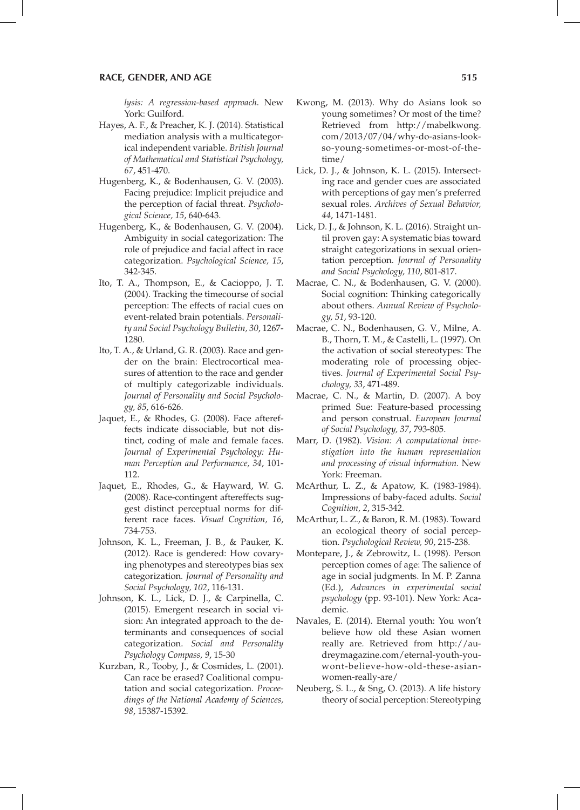*lysis: A regression-based approach*. New York: Guilford.

- Hayes, A. F., & Preacher, K. J. (2014). Statistical mediation analysis with a multicategorical independent variable. *British Journal of Mathematical and Statistical Psychology, 67*, 451-470.
- Hugenberg, K., & Bodenhausen, G. V. (2003). Facing prejudice: Implicit prejudice and the perception of facial threat. *Psychological Science, 15*, 640-643.
- Hugenberg, K., & Bodenhausen, G. V. (2004). Ambiguity in social categorization: The role of prejudice and facial affect in race categorization. *Psychological Science, 15*, 342-345.
- Ito, T. A., Thompson, E., & Cacioppo, J. T. (2004). Tracking the timecourse of social perception: The effects of racial cues on event-related brain potentials. *Personality and Social Psychology Bulletin, 30*, 1267- 1280.
- Ito, T. A., & Urland, G. R. (2003). Race and gender on the brain: Electrocortical measures of attention to the race and gender of multiply categorizable individuals. *Journal of Personality and Social Psychology, 85*, 616-626.
- Jaquet, E., & Rhodes, G. (2008). Face aftereffects indicate dissociable, but not distinct, coding of male and female faces. *Journal of Experimental Psychology: Human Perception and Performance, 34*, 101- 112.
- Jaquet, E., Rhodes, G., & Hayward, W. G. (2008). Race-contingent aftereffects suggest distinct perceptual norms for different race faces. *Visual Cognition, 16*, 734-753.
- Johnson, K. L., Freeman, J. B., & Pauker, K. (2012). Race is gendered: How covarying phenotypes and stereotypes bias sex categorization*. Journal of Personality and Social Psychology, 102*, 116-131.
- Johnson, K. L., Lick, D. J., & Carpinella, C. (2015). Emergent research in social vision: An integrated approach to the determinants and consequences of social categorization. *Social and Personality Psychology Compass, 9*, 15-30
- Kurzban, R., Tooby, J., & Cosmides, L. (2001). Can race be erased? Coalitional computation and social categorization. *Proceedings of the National Academy of Sciences, 98*, 15387-15392.
- Kwong, M. (2013). Why do Asians look so young sometimes? Or most of the time? Retrieved from http://mabelkwong. com/2013/07/04/why-do-asians-lookso-young-sometimes-or-most-of-thetime/
- Lick, D. J., & Johnson, K. L. (2015). Intersecting race and gender cues are associated with perceptions of gay men's preferred sexual roles. *Archives of Sexual Behavior, 44*, 1471-1481.
- Lick, D. J., & Johnson, K. L. (2016). Straight until proven gay: A systematic bias toward straight categorizations in sexual orientation perception. *Journal of Personality and Social Psychology, 110*, 801-817.
- Macrae, C. N., & Bodenhausen, G. V. (2000). Social cognition: Thinking categorically about others. *Annual Review of Psychology, 51*, 93-120.
- Macrae, C. N., Bodenhausen, G. V., Milne, A. B., Thorn, T. M., & Castelli, L. (1997). On the activation of social stereotypes: The moderating role of processing objectives. *Journal of Experimental Social Psychology, 33*, 471-489.
- Macrae, C. N., & Martin, D. (2007). A boy primed Sue: Feature-based processing and person construal. *European Journal of Social Psychology, 37*, 793-805.
- Marr, D. (1982). *Vision: A computational investigation into the human representation and processing of visual information.* New York: Freeman.
- McArthur, L. Z., & Apatow, K. (1983-1984). Impressions of baby-faced adults. *Social Cognition, 2*, 315-342.
- McArthur, L. Z., & Baron, R. M. (1983). Toward an ecological theory of social perception. *Psychological Review, 90*, 215-238.
- Montepare, J., & Zebrowitz, L. (1998). Person perception comes of age: The salience of age in social judgments. In M. P. Zanna (Ed.), *Advances in experimental social psychology* (pp. 93-101). New York: Academic.
- Navales, E. (2014). Eternal youth: You won't believe how old these Asian women really are*.* Retrieved from http://audreymagazine.com/eternal-youth-youwont-believe-how-old-these-asianwomen-really-are/
- Neuberg, S. L., & Sng, O. (2013). A life history theory of social perception: Stereotyping